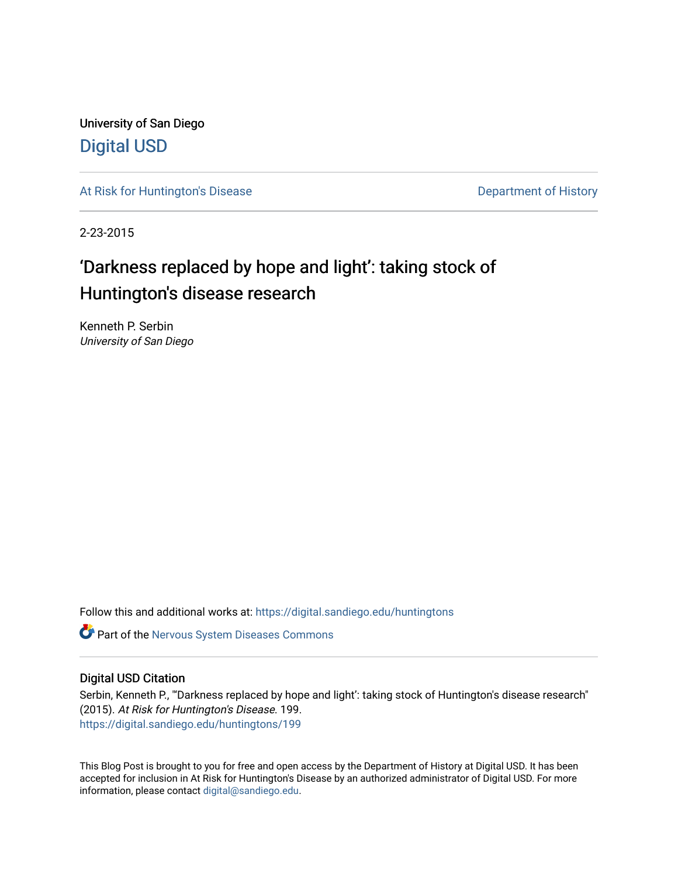University of San Diego [Digital USD](https://digital.sandiego.edu/)

[At Risk for Huntington's Disease](https://digital.sandiego.edu/huntingtons) **Department of History** Department of History

2-23-2015

# 'Darkness replaced by hope and light': taking stock of Huntington's disease research

Kenneth P. Serbin University of San Diego

Follow this and additional works at: [https://digital.sandiego.edu/huntingtons](https://digital.sandiego.edu/huntingtons?utm_source=digital.sandiego.edu%2Fhuntingtons%2F199&utm_medium=PDF&utm_campaign=PDFCoverPages)

**C** Part of the [Nervous System Diseases Commons](http://network.bepress.com/hgg/discipline/928?utm_source=digital.sandiego.edu%2Fhuntingtons%2F199&utm_medium=PDF&utm_campaign=PDFCoverPages)

## Digital USD Citation

Serbin, Kenneth P., "'Darkness replaced by hope and light': taking stock of Huntington's disease research" (2015). At Risk for Huntington's Disease. 199. [https://digital.sandiego.edu/huntingtons/199](https://digital.sandiego.edu/huntingtons/199?utm_source=digital.sandiego.edu%2Fhuntingtons%2F199&utm_medium=PDF&utm_campaign=PDFCoverPages)

This Blog Post is brought to you for free and open access by the Department of History at Digital USD. It has been accepted for inclusion in At Risk for Huntington's Disease by an authorized administrator of Digital USD. For more information, please contact [digital@sandiego.edu.](mailto:digital@sandiego.edu)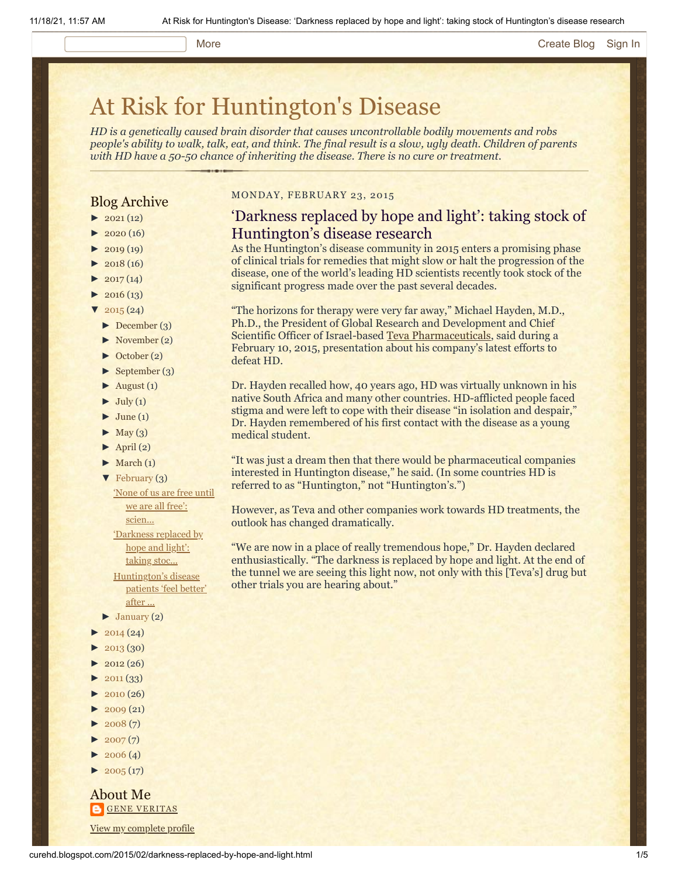## More **[Create Blog](https://draft.blogger.com/home#create) [Sign In](https://draft.blogger.com/)**

# [At Risk for Huntington's Disease](http://curehd.blogspot.com/)

*HD is a genetically caused brain disorder that causes uncontrollable bodily movements and robs people's ability to walk, talk, eat, and think. The final result is a slow, ugly death. Children of parents with HD have a 50-50 chance of inheriting the disease. There is no cure or treatment.*

# Blog Archive

- $\blacktriangleright$  [2021](http://curehd.blogspot.com/2021/) (12)
- $2020(16)$  $2020(16)$
- $2019(19)$  $2019(19)$
- $2018(16)$  $2018(16)$
- $2017(14)$  $2017(14)$
- $2016(13)$  $2016(13)$
- $\sqrt{2015(24)}$  $\sqrt{2015(24)}$  $\sqrt{2015(24)}$
- [►](javascript:void(0)) [December](http://curehd.blogspot.com/2015/12/) (3)
- [►](javascript:void(0)) [November](http://curehd.blogspot.com/2015/11/) (2)
- [►](javascript:void(0)) [October](http://curehd.blogspot.com/2015/10/) (2)
- [►](javascript:void(0)) [September](http://curehd.blogspot.com/2015/09/) (3)
- $\blacktriangleright$  [August](http://curehd.blogspot.com/2015/08/) (1)
- $\blacktriangleright$  [July](http://curehd.blogspot.com/2015/07/) (1)
- $\blacktriangleright$  [June](http://curehd.blogspot.com/2015/06/) (1)
- $\blacktriangleright$  [May](http://curehd.blogspot.com/2015/05/) (3)
- $\blacktriangleright$  [April](http://curehd.blogspot.com/2015/04/) (2)
- $\blacktriangleright$  [March](http://curehd.blogspot.com/2015/03/) (1)
- [▼](javascript:void(0)) [February](http://curehd.blogspot.com/2015/02/) (3)

'None of us are free until we are all free':

[scien...](http://curehd.blogspot.com/2015/02/none-of-us-are-free-until-we-are-all.html)

['Darkness](http://curehd.blogspot.com/2015/02/darkness-replaced-by-hope-and-light.html) replaced by

hope and light': taking stoc... [Huntington's](http://curehd.blogspot.com/2015/02/huntingtons-disease-patients-feel.html) disease patients 'feel better'

- after ...  $\blacktriangleright$  [January](http://curehd.blogspot.com/2015/01/) (2)
- $2014(24)$  $2014(24)$
- $2013(30)$  $2013(30)$
- $2012(26)$  $2012(26)$
- $\blacktriangleright$  [2011](http://curehd.blogspot.com/2011/) (33)
- 
- $2010(26)$  $2010(26)$
- $-2009(21)$  $-2009(21)$  $-2009(21)$  $2008(7)$  $2008(7)$
- $\blacktriangleright$  [2007](http://curehd.blogspot.com/2007/) $(7)$
- $\blacktriangleright$  [2006](http://curehd.blogspot.com/2006/) (4)
- $\blacktriangleright$  [2005](http://curehd.blogspot.com/2005/) (17)

About Me **GENE [VERITAS](https://draft.blogger.com/profile/10911736205741688185)** View my [complete](https://draft.blogger.com/profile/10911736205741688185) profile

#### MONDAY, FEBRUARY 23, 2015

# 'Darkness replaced by hope and light': taking stock of Huntington's disease research

As the Huntington's disease community in 2015 enters a promising phase of clinical trials for remedies that might slow or halt the progression of the disease, one of the world's leading HD scientists recently took stock of the significant progress made over the past several decades.

"The horizons for therapy were very far away," Michael Hayden, M.D., Ph.D., the President of Global Research and Development and Chief Scientific Officer of Israel-based [Teva Pharmaceuticals,](http://www.tevapharm.com/Pages/default.aspx) said during a February 10, 2015, presentation about his company's latest efforts to defeat HD.

Dr. Hayden recalled how, 40 years ago, HD was virtually unknown in his native South Africa and many other countries. HD-afflicted people faced stigma and were left to cope with their disease "in isolation and despair," Dr. Hayden remembered of his first contact with the disease as a young medical student.

"It was just a dream then that there would be pharmaceutical companies interested in Huntington disease," he said. (In some countries HD is referred to as "Huntington," not "Huntington's.")

However, as Teva and other companies work towards HD treatments, the outlook has changed dramatically.

"We are now in a place of really tremendous hope," Dr. Hayden declared enthusiastically. "The darkness is replaced by hope and light. At the end of the tunnel we are seeing this light now, not only with this [Teva's] drug but other trials you are hearing about."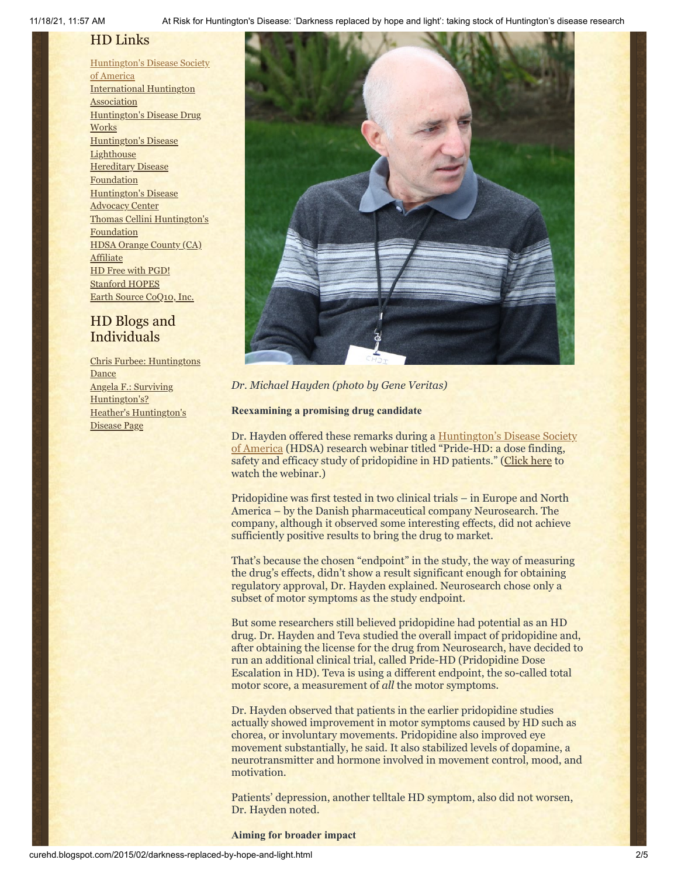11/18/21, 11:57 AM At Risk for Huntington's Disease: 'Darkness replaced by hope and light': taking stock of Huntington's disease research

# HD Links

[Huntington's](http://www.hdsa.org/) Disease Society of America [International](http://www.huntington-assoc.com/) Huntington **Association** [Huntington's](http://hddrugworks.org/) Disease Drug **Works** [Huntington's](http://www.hdlighthouse.org/) Disease **Lighthouse Hereditary Disease [Foundation](http://www.hdfoundation.org/)** [Huntington's](http://www.hdac.org/) Disease Advocacy Center Thomas [Cellini Huntington's](http://www.ourtchfoundation.org/) **Foundation** HDSA Orange County (CA) **[Affiliate](http://www.hdsaoc.org/)** HD Free with [PGD!](http://www.hdfreewithpgd.com/) [Stanford](http://www.stanford.edu/group/hopes/) HOPES Earth Source [CoQ10,](http://www.escoq10.com/) Inc.

# HD Blogs and Individuals

Chris Furbee: [Huntingtons](http://www.huntingtonsdance.org/) **Dance** Angela F.: Surviving [Huntington's?](http://survivinghuntingtons.blogspot.com/) Heather's [Huntington's](http://heatherdugdale.angelfire.com/) Disease Page



*Dr. Michael Hayden (photo by Gene Veritas)*

### **Reexamining a promising drug candidate**

Dr. Hayden offered these remarks during a **Huntington's Disease Society** of America (HDSA) research webinar titled "Pride-HD: a dose finding, safety and efficacy study of pridopidine in HD patients." ([Click here](https://www.youtube.com/watch?v=aY-6ElgvpWM&feature=youtu.be) to watch the webinar.)

Pridopidine was first tested in two clinical trials – in Europe and North America – by the Danish pharmaceutical company Neurosearch. The company, although it observed some interesting effects, did not achieve sufficiently positive results to bring the drug to market.

That's because the chosen "endpoint" in the study, the way of measuring the drug's effects, didn't show a result significant enough for obtaining regulatory approval, Dr. Hayden explained. Neurosearch chose only a subset of motor symptoms as the study endpoint.

But some researchers still believed pridopidine had potential as an HD drug. Dr. Hayden and Teva studied the overall impact of pridopidine and, after obtaining the license for the drug from Neurosearch, have decided to run an additional clinical trial, called Pride-HD (Pridopidine Dose Escalation in HD). Teva is using a different endpoint, the so-called total motor score, a measurement of *all* the motor symptoms.

Dr. Hayden observed that patients in the earlier pridopidine studies actually showed improvement in motor symptoms caused by HD such as chorea, or involuntary movements. Pridopidine also improved eye movement substantially, he said. It also stabilized levels of dopamine, a neurotransmitter and hormone involved in movement control, mood, and motivation.

Patients' depression, another telltale HD symptom, also did not worsen, Dr. Hayden noted.

**Aiming for broader impact**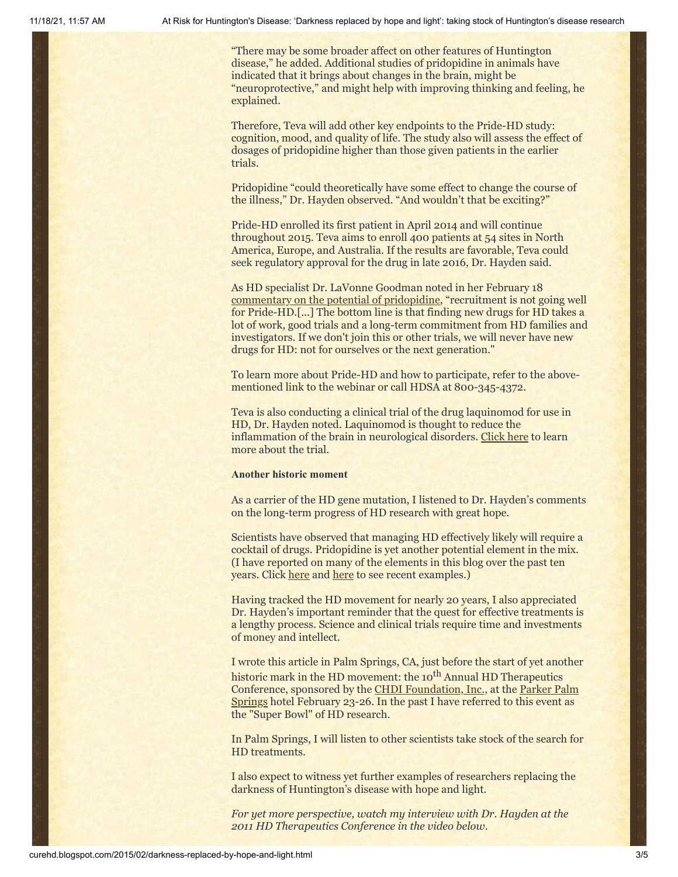"There may be some broader affect on other features of Huntington disease," he added. Additional studies of pridopidine in animals have indicated that it brings about changes in the brain, might be "neuroprotective," and might help with improving thinking and feeling, he explained.

Therefore, Teva will add other key endpoints to the Pride-HD study: cognition, mood, and quality of life. The study also will assess the effect of dosages of pridopidine higher than those given patients in the earlier trials.

Pridopidine "could theoretically have some effect to change the course of the illness," Dr. Hayden observed. "And wouldn't that be exciting?"

Pride-HD enrolled its first patient in April 2014 and will continue throughout 2015. Teva aims to enroll 400 patients at 54 sites in North America, Europe, and Australia. If the results are favorable, Teva could seek regulatory approval for the drug in late 2016, Dr. Hayden said.

As HD specialist Dr. LaVonne Goodman noted in her February 18 [commentary on the potential of pridopidine](https://hddrugworks.org/index.php?option=com_content&task=view&id=350&Itemid=30), "recruitment is not going well for Pride-HD.[...] The bottom line is that finding new drugs for HD takes a lot of work, good trials and a long-term commitment from HD families and investigators. If we don't join this or other trials, we will never have new drugs for HD: not for ourselves or the next generation."

To learn more about Pride-HD and how to participate, refer to the abovementioned link to the webinar or call HDSA at 800-345-4372.

Teva is also conducting a clinical trial of the drug laquinomod for use in HD, Dr. Hayden noted. Laquinomod is thought to reduce the inflammation of the brain in neurological disorders. [Click here](http://www.hdsa.org/research/clinical-trials-1/laquinimod-for-hd.html) to learn more about the trial.

#### **Another historic moment**

As a carrier of the HD gene mutation, I listened to Dr. Hayden's comments on the long-term progress of HD research with great hope.

Scientists have observed that managing HD effectively likely will require a cocktail of drugs. Pridopidine is yet another potential element in the mix. (I have reported on many of the elements in this blog over the past ten years. Click [here](http://www.curehd.blogspot.com/2015/02/huntingtons-disease-patients-feel.html) and [here](http://www.curehd.blogspot.com/2014/09/moving-toward-potential-treatment-isis.html) to see recent examples.)

Having tracked the HD movement for nearly 20 years, I also appreciated Dr. Hayden's important reminder that the quest for effective treatments is a lengthy process. Science and clinical trials require time and investments of money and intellect.

I wrote this article in Palm Springs, CA, just before the start of yet another historic mark in the HD movement: the 10<sup>th</sup> Annual HD Therapeutics Conference, sponsored by the [CHDI Foundation, Inc.,](http://chdifoundation.org/) at the Parker Palm [Springs hotel February 23-26. In the past I have referred to this event as](http://www.theparkerpalmsprings.com/index.php) the "Super Bowl" of HD research.

In Palm Springs, I will listen to other scientists take stock of the search for HD treatments.

I also expect to witness yet further examples of researchers replacing the darkness of Huntington's disease with hope and light.

*For yet more perspective, watch my interview with Dr. Hayden at the 2011 HD Therapeutics Conference in the video below.*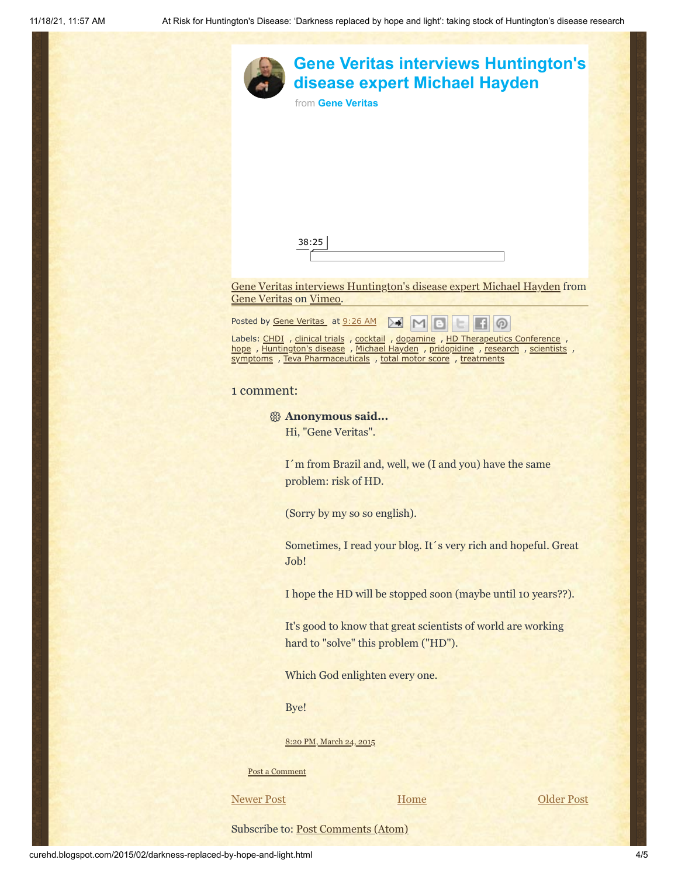|                                    |                                                                                                                                                                                                        | from Gene Veritas                                  | <b>Gene Veritas interviews Huntington's</b><br>disease expert Michael Hayden                                                                                                                                                           |            |
|------------------------------------|--------------------------------------------------------------------------------------------------------------------------------------------------------------------------------------------------------|----------------------------------------------------|----------------------------------------------------------------------------------------------------------------------------------------------------------------------------------------------------------------------------------------|------------|
|                                    |                                                                                                                                                                                                        |                                                    |                                                                                                                                                                                                                                        |            |
|                                    |                                                                                                                                                                                                        |                                                    |                                                                                                                                                                                                                                        |            |
|                                    |                                                                                                                                                                                                        | 38:25                                              |                                                                                                                                                                                                                                        |            |
|                                    |                                                                                                                                                                                                        |                                                    |                                                                                                                                                                                                                                        |            |
|                                    | Gene Veritas on Vimeo.                                                                                                                                                                                 |                                                    | Gene Veritas interviews Huntington's disease expert Michael Hayden from                                                                                                                                                                |            |
|                                    |                                                                                                                                                                                                        | Posted by Gene Veritas at 9:26 AM                  |                                                                                                                                                                                                                                        |            |
|                                    |                                                                                                                                                                                                        |                                                    | Labels: CHDI , clinical trials , cocktail , dopamine , HD Therapeutics Conference ,<br>hope, Huntington's disease, Michael Hayden, pridopidine, research, scientists,<br>symptoms, Teva Pharmaceuticals, total motor score, treatments |            |
|                                    | 1 comment:                                                                                                                                                                                             |                                                    |                                                                                                                                                                                                                                        |            |
|                                    |                                                                                                                                                                                                        | <sup>8</sup> Anonymous said<br>Hi, "Gene Veritas". |                                                                                                                                                                                                                                        |            |
|                                    |                                                                                                                                                                                                        | problem: risk of HD.                               | I'm from Brazil and, well, we (I and you) have the same                                                                                                                                                                                |            |
|                                    | (Sorry by my so so english).<br>Sometimes, I read your blog. It's very rich and hopeful. Great<br>Job!                                                                                                 |                                                    |                                                                                                                                                                                                                                        |            |
|                                    |                                                                                                                                                                                                        |                                                    |                                                                                                                                                                                                                                        |            |
|                                    | I hope the HD will be stopped soon (maybe until 10 years??).<br>It's good to know that great scientists of world are working<br>hard to "solve" this problem ("HD").<br>Which God enlighten every one. |                                                    |                                                                                                                                                                                                                                        |            |
|                                    |                                                                                                                                                                                                        |                                                    |                                                                                                                                                                                                                                        |            |
|                                    |                                                                                                                                                                                                        |                                                    |                                                                                                                                                                                                                                        |            |
|                                    | Bye!                                                                                                                                                                                                   |                                                    |                                                                                                                                                                                                                                        |            |
|                                    |                                                                                                                                                                                                        | 8:20 PM, March 24, 2015                            |                                                                                                                                                                                                                                        |            |
|                                    | Post a Comment                                                                                                                                                                                         |                                                    |                                                                                                                                                                                                                                        |            |
|                                    | <b>Newer Post</b>                                                                                                                                                                                      |                                                    | Home                                                                                                                                                                                                                                   | Older Post |
| Subscribe to: Post Comments (Atom) |                                                                                                                                                                                                        |                                                    |                                                                                                                                                                                                                                        |            |